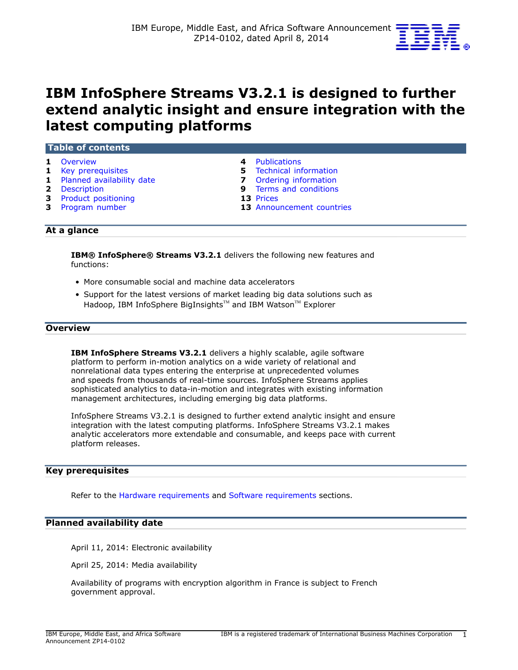

# **IBM InfoSphere Streams V3.2.1 is designed to further extend analytic insight and ensure integration with the latest computing platforms**

| 1 Overview                  | 4 Publications                 |
|-----------------------------|--------------------------------|
| <b>1</b> Key prerequisites  | <b>5</b> Technical information |
| 1 Planned availability date | <b>7</b> Ordering information  |
| <b>2</b> Description        | <b>9</b> Terms and conditions  |
| 3 Product positioning       | 13 Prices                      |
| 3 Program number            | 13 Announcement countries      |

### **At a glance**

**IBM® InfoSphere® Streams V3.2.1** delivers the following new features and functions:

- More consumable social and machine data accelerators
- Support for the latest versions of market leading big data solutions such as Hadoop, IBM InfoSphere BigInsights™ and IBM Watson™ Explorer

#### <span id="page-0-0"></span>**Overview**

**IBM InfoSphere Streams V3.2.1** delivers a highly scalable, agile software platform to perform in-motion analytics on a wide variety of relational and nonrelational data types entering the enterprise at unprecedented volumes and speeds from thousands of real-time sources. InfoSphere Streams applies sophisticated analytics to data-in-motion and integrates with existing information management architectures, including emerging big data platforms.

InfoSphere Streams V3.2.1 is designed to further extend analytic insight and ensure integration with the latest computing platforms. InfoSphere Streams V3.2.1 makes analytic accelerators more extendable and consumable, and keeps pace with current platform releases.

#### <span id="page-0-1"></span>**Key prerequisites**

Refer to the [Hardware requirements](#page-4-1) and [Software requirements](#page-4-2) sections.

#### <span id="page-0-2"></span>**Planned availability date**

April 11, 2014: Electronic availability

April 25, 2014: Media availability

Availability of programs with encryption algorithm in France is subject to French government approval.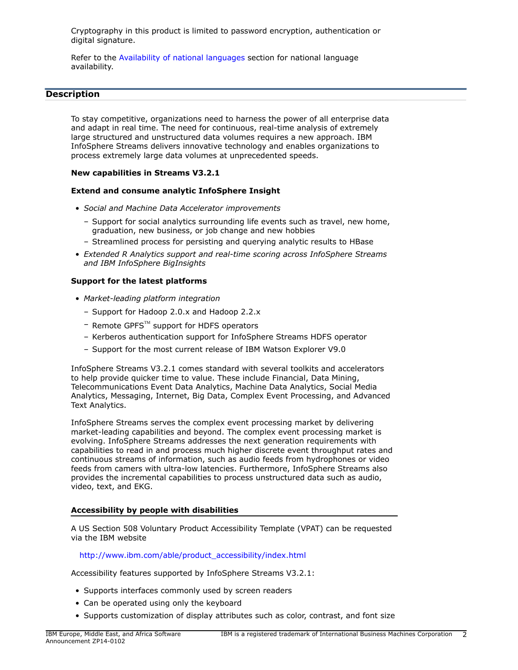Cryptography in this product is limited to password encryption, authentication or digital signature.

Refer to the [Availability of national languages](#page-2-2) section for national language availability.

### <span id="page-1-0"></span>**Description**

To stay competitive, organizations need to harness the power of all enterprise data and adapt in real time. The need for continuous, real-time analysis of extremely large structured and unstructured data volumes requires a new approach. IBM InfoSphere Streams delivers innovative technology and enables organizations to process extremely large data volumes at unprecedented speeds.

### **New capabilities in Streams V3.2.1**

### **Extend and consume analytic InfoSphere Insight**

- *Social and Machine Data Accelerator improvements*
	- Support for social analytics surrounding life events such as travel, new home, graduation, new business, or job change and new hobbies
	- Streamlined process for persisting and querying analytic results to HBase
- *Extended R Analytics support and real-time scoring across InfoSphere Streams and IBM InfoSphere BigInsights*

### **Support for the latest platforms**

- *Market-leading platform integration*
	- Support for Hadoop 2.0.x and Hadoop 2.2.x
	- $-$  Remote GPFS $^{TM}$  support for HDFS operators
	- Kerberos authentication support for InfoSphere Streams HDFS operator
	- Support for the most current release of IBM Watson Explorer V9.0

InfoSphere Streams V3.2.1 comes standard with several toolkits and accelerators to help provide quicker time to value. These include Financial, Data Mining, Telecommunications Event Data Analytics, Machine Data Analytics, Social Media Analytics, Messaging, Internet, Big Data, Complex Event Processing, and Advanced Text Analytics.

InfoSphere Streams serves the complex event processing market by delivering market-leading capabilities and beyond. The complex event processing market is evolving. InfoSphere Streams addresses the next generation requirements with capabilities to read in and process much higher discrete event throughput rates and continuous streams of information, such as audio feeds from hydrophones or video feeds from camers with ultra-low latencies. Furthermore, InfoSphere Streams also provides the incremental capabilities to process unstructured data such as audio, video, text, and EKG.

#### **Accessibility by people with disabilities**

A US Section 508 Voluntary Product Accessibility Template (VPAT) can be requested via the IBM website

[http://www.ibm.com/able/product\\_accessibility/index.html](http://www.ibm.com/able/product_accessibility/index.html)

Accessibility features supported by InfoSphere Streams V3.2.1:

- Supports interfaces commonly used by screen readers
- Can be operated using only the keyboard
- Supports customization of display attributes such as color, contrast, and font size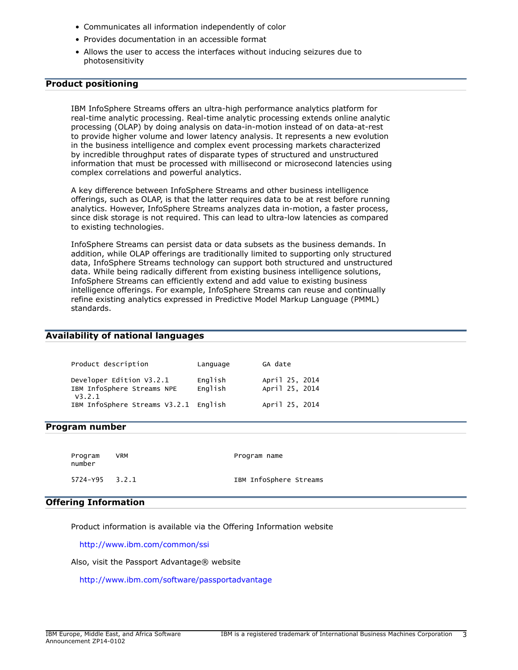- Communicates all information independently of color
- Provides documentation in an accessible format
- Allows the user to access the interfaces without inducing seizures due to photosensitivity

# <span id="page-2-0"></span>**Product positioning**

IBM InfoSphere Streams offers an ultra-high performance analytics platform for real-time analytic processing. Real-time analytic processing extends online analytic processing (OLAP) by doing analysis on data-in-motion instead of on data-at-rest to provide higher volume and lower latency analysis. It represents a new evolution in the business intelligence and complex event processing markets characterized by incredible throughput rates of disparate types of structured and unstructured information that must be processed with millisecond or microsecond latencies using complex correlations and powerful analytics.

A key difference between InfoSphere Streams and other business intelligence offerings, such as OLAP, is that the latter requires data to be at rest before running analytics. However, InfoSphere Streams analyzes data in-motion, a faster process, since disk storage is not required. This can lead to ultra-low latencies as compared to existing technologies.

InfoSphere Streams can persist data or data subsets as the business demands. In addition, while OLAP offerings are traditionally limited to supporting only structured data, InfoSphere Streams technology can support both structured and unstructured data. While being radically different from existing business intelligence solutions, InfoSphere Streams can efficiently extend and add value to existing business intelligence offerings. For example, InfoSphere Streams can reuse and continually refine existing analytics expressed in Predictive Model Markup Language (PMML) standards.

### <span id="page-2-2"></span>**Availability of national languages**

| Product description                                              | Language           | GA date                          |
|------------------------------------------------------------------|--------------------|----------------------------------|
| Developer Edition V3.2.1<br>IBM InfoSphere Streams NPE<br>V3.2.1 | English<br>English | April 25, 2014<br>April 25, 2014 |
| IBM InfoSphere Streams V3.2.1 English                            |                    | April 25, 2014                   |

#### <span id="page-2-1"></span>**Program number**

Program VRM **Program name** number 5724-Y95 3.2.1 IBM InfoSphere Streams

### **Offering Information**

Product information is available via the Offering Information website

<http://www.ibm.com/common/ssi>

Also, visit the Passport Advantage® website

<http://www.ibm.com/software/passportadvantage>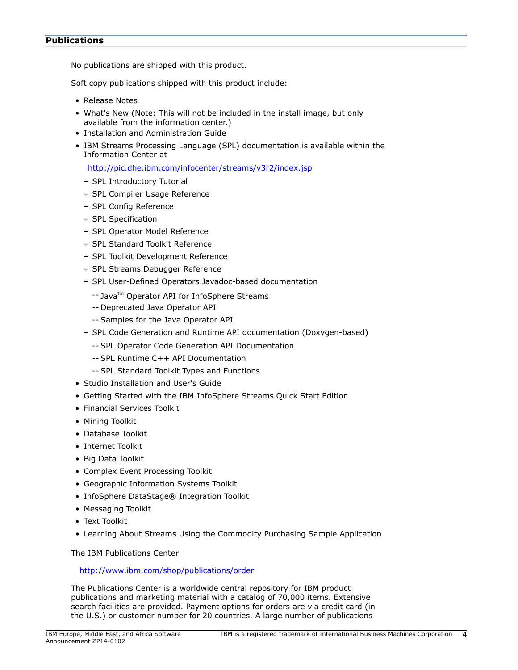### <span id="page-3-0"></span>**Publications**

No publications are shipped with this product.

Soft copy publications shipped with this product include:

- Release Notes
- What's New (Note: This will not be included in the install image, but only available from the information center.)
- Installation and Administration Guide
- IBM Streams Processing Language (SPL) documentation is available within the Information Center at

<http://pic.dhe.ibm.com/infocenter/streams/v3r2/index.jsp>

- SPL Introductory Tutorial
- SPL Compiler Usage Reference
- SPL Config Reference
- SPL Specification
- SPL Operator Model Reference
- SPL Standard Toolkit Reference
- SPL Toolkit Development Reference
- SPL Streams Debugger Reference
- SPL User-Defined Operators Javadoc-based documentation
	- -- Java™ Operator API for InfoSphere Streams
	- -- Deprecated Java Operator API
	- -- Samples for the Java Operator API
- SPL Code Generation and Runtime API documentation (Doxygen-based)
	- -- SPL Operator Code Generation API Documentation
	- -- SPL Runtime C++ API Documentation
	- -- SPL Standard Toolkit Types and Functions
- Studio Installation and User's Guide
- Getting Started with the IBM InfoSphere Streams Quick Start Edition
- Financial Services Toolkit
- Mining Toolkit
- Database Toolkit
- Internet Toolkit
- Big Data Toolkit
- Complex Event Processing Toolkit
- Geographic Information Systems Toolkit
- InfoSphere DataStage® Integration Toolkit
- Messaging Toolkit
- Text Toolkit
- Learning About Streams Using the Commodity Purchasing Sample Application

The IBM Publications Center

### <http://www.ibm.com/shop/publications/order>

The Publications Center is a worldwide central repository for IBM product publications and marketing material with a catalog of 70,000 items. Extensive search facilities are provided. Payment options for orders are via credit card (in the U.S.) or customer number for 20 countries. A large number of publications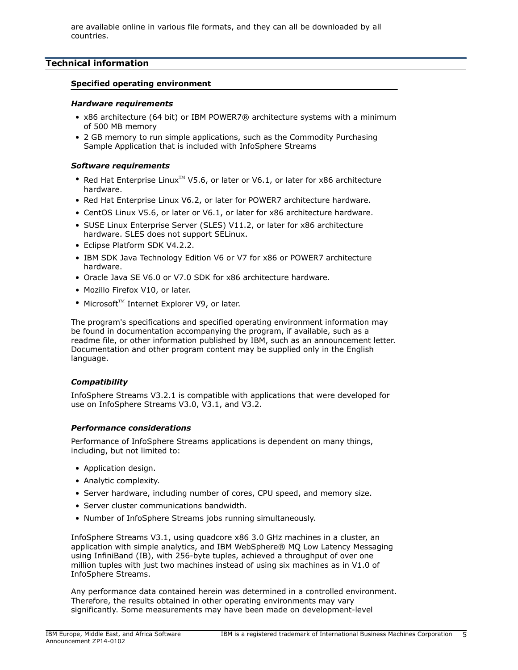are available online in various file formats, and they can all be downloaded by all countries.

# <span id="page-4-0"></span>**Technical information**

### **Specified operating environment**

#### <span id="page-4-1"></span>*Hardware requirements*

- x86 architecture (64 bit) or IBM POWER7® architecture systems with a minimum of 500 MB memory
- 2 GB memory to run simple applications, such as the Commodity Purchasing Sample Application that is included with InfoSphere Streams

### <span id="page-4-2"></span>*Software requirements*

- Red Hat Enterprise Linux<sup>™</sup> V5.6, or later or V6.1, or later for x86 architecture hardware.
- Red Hat Enterprise Linux V6.2, or later for POWER7 architecture hardware.
- CentOS Linux V5.6, or later or V6.1, or later for x86 architecture hardware.
- SUSE Linux Enterprise Server (SLES) V11.2, or later for x86 architecture hardware. SLES does not support SELinux.
- Eclipse Platform SDK V4.2.2.
- IBM SDK Java Technology Edition V6 or V7 for x86 or POWER7 architecture hardware.
- Oracle Java SE V6.0 or V7.0 SDK for x86 architecture hardware.
- Mozillo Firefox V10, or later.
- Microsoft<sup>™</sup> Internet Explorer V9, or later.

The program's specifications and specified operating environment information may be found in documentation accompanying the program, if available, such as a readme file, or other information published by IBM, such as an announcement letter. Documentation and other program content may be supplied only in the English language.

### *Compatibility*

InfoSphere Streams V3.2.1 is compatible with applications that were developed for use on InfoSphere Streams V3.0, V3.1, and V3.2.

### *Performance considerations*

Performance of InfoSphere Streams applications is dependent on many things, including, but not limited to:

- Application design.
- Analytic complexity.
- Server hardware, including number of cores, CPU speed, and memory size.
- Server cluster communications bandwidth.
- Number of InfoSphere Streams jobs running simultaneously.

InfoSphere Streams V3.1, using quadcore x86 3.0 GHz machines in a cluster, an application with simple analytics, and IBM WebSphere® MQ Low Latency Messaging using InfiniBand (IB), with 256-byte tuples, achieved a throughput of over one million tuples with just two machines instead of using six machines as in V1.0 of InfoSphere Streams.

Any performance data contained herein was determined in a controlled environment. Therefore, the results obtained in other operating environments may vary significantly. Some measurements may have been made on development-level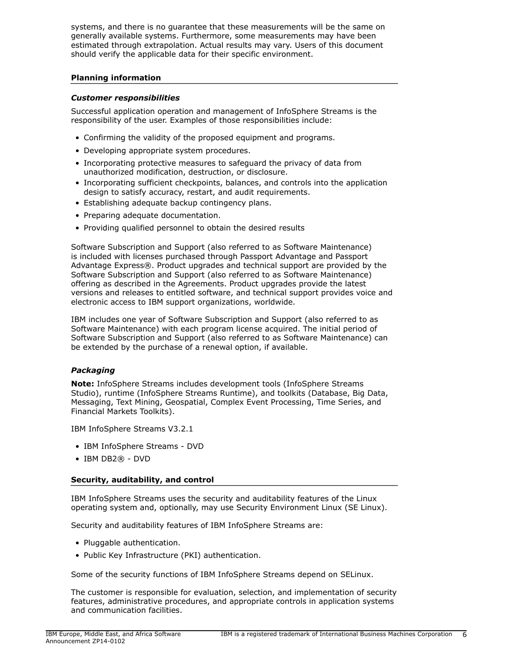systems, and there is no guarantee that these measurements will be the same on generally available systems. Furthermore, some measurements may have been estimated through extrapolation. Actual results may vary. Users of this document should verify the applicable data for their specific environment.

### **Planning information**

### *Customer responsibilities*

Successful application operation and management of InfoSphere Streams is the responsibility of the user. Examples of those responsibilities include:

- Confirming the validity of the proposed equipment and programs.
- Developing appropriate system procedures.
- Incorporating protective measures to safeguard the privacy of data from unauthorized modification, destruction, or disclosure.
- Incorporating sufficient checkpoints, balances, and controls into the application design to satisfy accuracy, restart, and audit requirements.
- Establishing adequate backup contingency plans.
- Preparing adequate documentation.
- Providing qualified personnel to obtain the desired results

Software Subscription and Support (also referred to as Software Maintenance) is included with licenses purchased through Passport Advantage and Passport Advantage Express®. Product upgrades and technical support are provided by the Software Subscription and Support (also referred to as Software Maintenance) offering as described in the Agreements. Product upgrades provide the latest versions and releases to entitled software, and technical support provides voice and electronic access to IBM support organizations, worldwide.

IBM includes one year of Software Subscription and Support (also referred to as Software Maintenance) with each program license acquired. The initial period of Software Subscription and Support (also referred to as Software Maintenance) can be extended by the purchase of a renewal option, if available.

# *Packaging*

**Note:** InfoSphere Streams includes development tools (InfoSphere Streams Studio), runtime (InfoSphere Streams Runtime), and toolkits (Database, Big Data, Messaging, Text Mining, Geospatial, Complex Event Processing, Time Series, and Financial Markets Toolkits).

IBM InfoSphere Streams V3.2.1

- IBM InfoSphere Streams DVD
- IBM DB2® DVD

# **Security, auditability, and control**

IBM InfoSphere Streams uses the security and auditability features of the Linux operating system and, optionally, may use Security Environment Linux (SE Linux).

Security and auditability features of IBM InfoSphere Streams are:

- Pluggable authentication.
- Public Key Infrastructure (PKI) authentication.

Some of the security functions of IBM InfoSphere Streams depend on SELinux.

The customer is responsible for evaluation, selection, and implementation of security features, administrative procedures, and appropriate controls in application systems and communication facilities.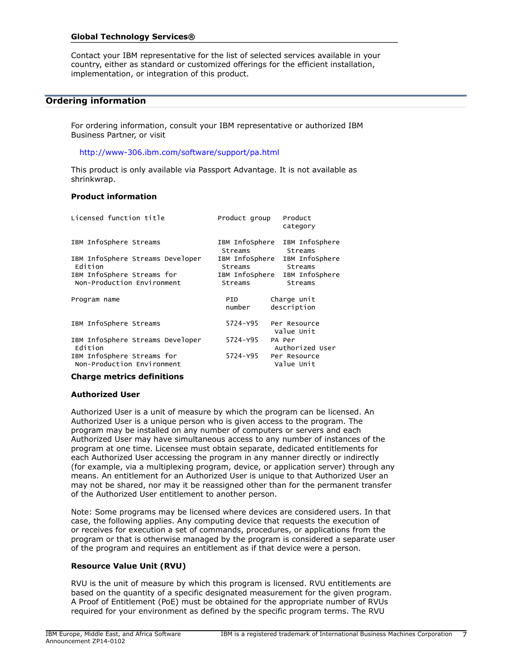### **Global Technology Services®**

Contact your IBM representative for the list of selected services available in your country, either as standard or customized offerings for the efficient installation, implementation, or integration of this product.

### <span id="page-6-0"></span>**Ordering information**

For ordering information, consult your IBM representative or authorized IBM Business Partner, or visit

<http://www-306.ibm.com/software/support/pa.html>

This product is only available via Passport Advantage. It is not available as shrinkwrap.

### **Product information**

| Licensed function title                                  | Product group             | Product<br>category                      |
|----------------------------------------------------------|---------------------------|------------------------------------------|
| IBM InfoSphere Streams                                   | IBM InfoSphere<br>Streams | IBM InfoSphere<br>Streams                |
| IBM InfoSphere Streams Developer<br>Edition              | IBM InfoSphere<br>Streams | IBM InfoSphere<br>Streams                |
| IBM InfoSphere Streams for<br>Non-Production Environment | Streams                   | IBM InfoSphere IBM InfoSphere<br>Streams |
| Program name                                             | PID<br>number             | Charge unit<br>description               |
| IBM InfoSphere Streams                                   | 5724-Y95                  | Per Resource<br>Value Unit               |
| IBM InfoSphere Streams Developer<br>Edition              | 5724-Y95                  | PA Per<br>Authorized User                |
| IBM InfoSphere Streams for<br>Non-Production Environment | 5724-Y95                  | Per Resource<br>Value Unit               |

#### **Charge metrics definitions**

#### **Authorized User**

Authorized User is a unit of measure by which the program can be licensed. An Authorized User is a unique person who is given access to the program. The program may be installed on any number of computers or servers and each Authorized User may have simultaneous access to any number of instances of the program at one time. Licensee must obtain separate, dedicated entitlements for each Authorized User accessing the program in any manner directly or indirectly (for example, via a multiplexing program, device, or application server) through any means. An entitlement for an Authorized User is unique to that Authorized User an may not be shared, nor may it be reassigned other than for the permanent transfer of the Authorized User entitlement to another person.

Note: Some programs may be licensed where devices are considered users. In that case, the following applies. Any computing device that requests the execution of or receives for execution a set of commands, procedures, or applications from the program or that is otherwise managed by the program is considered a separate user of the program and requires an entitlement as if that device were a person.

#### **Resource Value Unit (RVU)**

RVU is the unit of measure by which this program is licensed. RVU entitlements are based on the quantity of a specific designated measurement for the given program. A Proof of Entitlement (PoE) must be obtained for the appropriate number of RVUs required for your environment as defined by the specific program terms. The RVU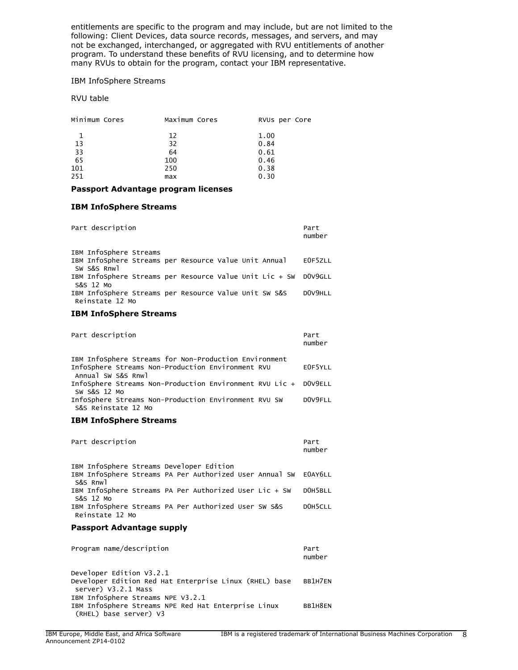entitlements are specific to the program and may include, but are not limited to the following: Client Devices, data source records, messages, and servers, and may not be exchanged, interchanged, or aggregated with RVU entitlements of another program. To understand these benefits of RVU licensing, and to determine how many RVUs to obtain for the program, contact your IBM representative.

#### IBM InfoSphere Streams

### RVU table

| Minimum Cores | Maximum Cores | RVUs per Core |
|---------------|---------------|---------------|
|               | 12            | 1.00          |
| 13            | 32            | 0.84          |
| 33            | 64            | 0.61          |
| 65            | 100           | 0.46          |
| 101           | 250           | 0.38          |
| 251           | max           | 0.30          |

#### **Passport Advantage program licenses**

#### **IBM InfoSphere Streams**

| Part description                                                             | Part<br>number |
|------------------------------------------------------------------------------|----------------|
| IBM InfoSphere Streams                                                       |                |
| IBM InfoSphere Streams per Resource Value Unit Annual<br>SW S&S Rnwl         | EOF5ZLL        |
| IBM InfoSphere Streams per Resource Value Unit Lic + SW DOV9GLL<br>S&S 12 Mo |                |
| IBM InfoSphere Streams per Resource Value Unit SW S&S<br>Reinstate 12 Mo     | DOV9HLL        |

#### **IBM InfoSphere Streams**

| Part description                                                                                                                 | Part<br>number |
|----------------------------------------------------------------------------------------------------------------------------------|----------------|
| IBM InfoSphere Streams for Non-Production Environment<br>InfoSphere Streams Non-Production Environment RVU<br>Annual SW S&S Rnwl | E0F5YLL        |
| InfoSphere Streams Non-Production Environment RVU Lic + DOV9ELL<br>SW S&S 12 MO                                                  |                |
| InfoSphere Streams Non-Production Environment RVU SW<br>S&S Reinstate 12 Mo                                                      | DOV9FLL        |

#### **IBM InfoSphere Streams**

| Part description                         |                                                                 | Part<br>number |
|------------------------------------------|-----------------------------------------------------------------|----------------|
| IBM InfoSphere Streams Developer Edition |                                                                 |                |
| S&S Rnwl                                 | IBM InfoSphere Streams PA Per Authorized User Annual SW EOAY6LL |                |
| S&S 12 Mo                                | IBM InfoSphere Streams PA Per Authorized User Lic + SW          | DOH5BLL        |
| Reinstate 12 Mo                          | IBM InfoSphere Streams PA Per Authorized User SW S&S            | DOH5CLL        |

#### **Passport Advantage supply**

| Program name/description                                                                                           | Part<br>number |
|--------------------------------------------------------------------------------------------------------------------|----------------|
| Developer Edition V3.2.1<br>Developer Edition Red Hat Enterprise Linux (RHEL) base<br>server) V3.2.1 Mass          | RR1H7FN        |
| IBM InfoSphere Streams NPE V3.2.1<br>IBM InfoSphere Streams NPE Red Hat Enterprise Linux<br>(RHEL) base server) V3 | BB1H8EN        |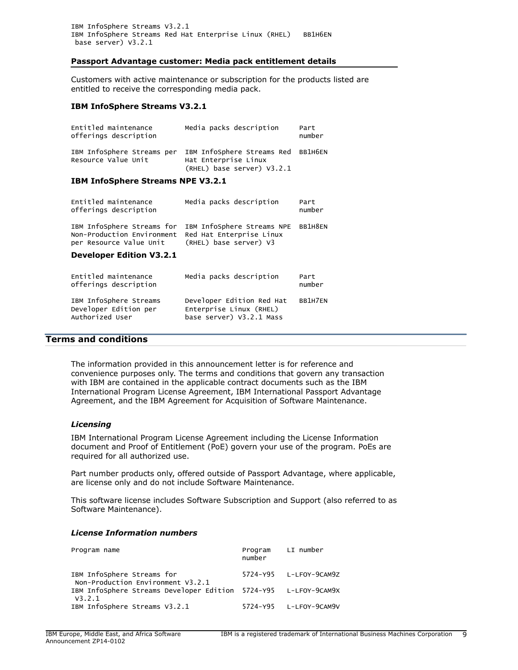IBM InfoSphere Streams V3.2.1 IBM InfoSphere Streams Red Hat Enterprise Linux (RHEL) BB1H6EN base server) V3.2.1

### **Passport Advantage customer: Media pack entitlement details**

Customers with active maintenance or subscription for the products listed are entitled to receive the corresponding media pack.

#### **IBM InfoSphere Streams V3.2.1**

| Entitled maintenance<br>offerings description     | Media packs description                                                                  | Part<br>number |
|---------------------------------------------------|------------------------------------------------------------------------------------------|----------------|
| IBM InfoSphere Streams per<br>Resource Value Unit | IBM InfoSphere Streams Red BB1H6EN<br>Hat Enterprise Linux<br>(RHEL) base server) V3.2.1 |                |
|                                                   |                                                                                          |                |

### **IBM InfoSphere Streams NPE V3.2.1**

| Entitled maintenance<br>offerings description                                  | Media packs description                                                                 | Part<br>number |
|--------------------------------------------------------------------------------|-----------------------------------------------------------------------------------------|----------------|
| Non-Production Environment Red Hat Enterprise Linux<br>per Resource Value Unit | IBM InfoSphere Streams for IBM InfoSphere Streams NPE BB1H8EN<br>(RHEL) base server) V3 |                |
| Berrate - - - Fallace 179. 9. 4                                                |                                                                                         |                |

#### **Developer Edition V3.2.1**

| Entitled maintenance<br>offerings description                      | Media packs description                                                          | Part<br>number |
|--------------------------------------------------------------------|----------------------------------------------------------------------------------|----------------|
| IBM InfoSphere Streams<br>Developer Edition per<br>Authorized User | Developer Edition Red Hat<br>Enterprise Linux (RHEL)<br>base server) V3.2.1 Mass | BB1H7EN        |

### <span id="page-8-0"></span>**Terms and conditions**

The information provided in this announcement letter is for reference and convenience purposes only. The terms and conditions that govern any transaction with IBM are contained in the applicable contract documents such as the IBM International Program License Agreement, IBM International Passport Advantage Agreement, and the IBM Agreement for Acquisition of Software Maintenance.

#### *Licensing*

IBM International Program License Agreement including the License Information document and Proof of Entitlement (PoE) govern your use of the program. PoEs are required for all authorized use.

Part number products only, offered outside of Passport Advantage, where applicable, are license only and do not include Software Maintenance.

This software license includes Software Subscription and Support (also referred to as Software Maintenance).

#### *License Information numbers*

| Program name                                                              | number | Program LI number      |
|---------------------------------------------------------------------------|--------|------------------------|
| IBM InfoSphere Streams for<br>Non-Production Environment V3.2.1           |        | 5724-Y95 L-LFOY-9CAM9Z |
| IBM Infosphere Streams Developer Edition 5724-Y95 L-LFOY-9CAM9X<br>V3.2.1 |        |                        |
| IBM InfoSphere Streams V3.2.1                                             |        | 5724-Y95 L-LFOY-9CAM9V |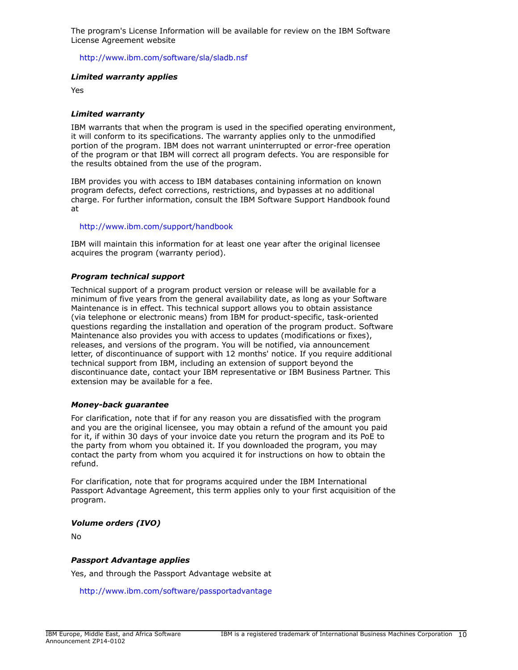The program's License Information will be available for review on the IBM Software License Agreement website

<http://www.ibm.com/software/sla/sladb.nsf>

### *Limited warranty applies*

Yes

### *Limited warranty*

IBM warrants that when the program is used in the specified operating environment, it will conform to its specifications. The warranty applies only to the unmodified portion of the program. IBM does not warrant uninterrupted or error-free operation of the program or that IBM will correct all program defects. You are responsible for the results obtained from the use of the program.

IBM provides you with access to IBM databases containing information on known program defects, defect corrections, restrictions, and bypasses at no additional charge. For further information, consult the IBM Software Support Handbook found at

### <http://www.ibm.com/support/handbook>

IBM will maintain this information for at least one year after the original licensee acquires the program (warranty period).

### *Program technical support*

Technical support of a program product version or release will be available for a minimum of five years from the general availability date, as long as your Software Maintenance is in effect. This technical support allows you to obtain assistance (via telephone or electronic means) from IBM for product-specific, task-oriented questions regarding the installation and operation of the program product. Software Maintenance also provides you with access to updates (modifications or fixes), releases, and versions of the program. You will be notified, via announcement letter, of discontinuance of support with 12 months' notice. If you require additional technical support from IBM, including an extension of support beyond the discontinuance date, contact your IBM representative or IBM Business Partner. This extension may be available for a fee.

### *Money-back guarantee*

For clarification, note that if for any reason you are dissatisfied with the program and you are the original licensee, you may obtain a refund of the amount you paid for it, if within 30 days of your invoice date you return the program and its PoE to the party from whom you obtained it. If you downloaded the program, you may contact the party from whom you acquired it for instructions on how to obtain the refund.

For clarification, note that for programs acquired under the IBM International Passport Advantage Agreement, this term applies only to your first acquisition of the program.

### *Volume orders (IVO)*

No

### *Passport Advantage applies*

Yes, and through the Passport Advantage website at

<http://www.ibm.com/software/passportadvantage>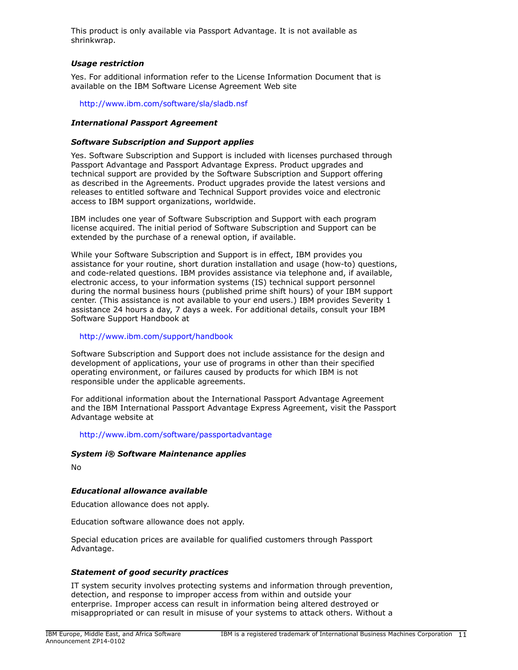This product is only available via Passport Advantage. It is not available as shrinkwrap.

### *Usage restriction*

Yes. For additional information refer to the License Information Document that is available on the IBM Software License Agreement Web site

<http://www.ibm.com/software/sla/sladb.nsf>

### *International Passport Agreement*

### *Software Subscription and Support applies*

Yes. Software Subscription and Support is included with licenses purchased through Passport Advantage and Passport Advantage Express. Product upgrades and technical support are provided by the Software Subscription and Support offering as described in the Agreements. Product upgrades provide the latest versions and releases to entitled software and Technical Support provides voice and electronic access to IBM support organizations, worldwide.

IBM includes one year of Software Subscription and Support with each program license acquired. The initial period of Software Subscription and Support can be extended by the purchase of a renewal option, if available.

While your Software Subscription and Support is in effect, IBM provides you assistance for your routine, short duration installation and usage (how-to) questions, and code-related questions. IBM provides assistance via telephone and, if available, electronic access, to your information systems (IS) technical support personnel during the normal business hours (published prime shift hours) of your IBM support center. (This assistance is not available to your end users.) IBM provides Severity 1 assistance 24 hours a day, 7 days a week. For additional details, consult your IBM Software Support Handbook at

### <http://www.ibm.com/support/handbook>

Software Subscription and Support does not include assistance for the design and development of applications, your use of programs in other than their specified operating environment, or failures caused by products for which IBM is not responsible under the applicable agreements.

For additional information about the International Passport Advantage Agreement and the IBM International Passport Advantage Express Agreement, visit the Passport Advantage website at

<http://www.ibm.com/software/passportadvantage>

### *System i® Software Maintenance applies*

No

### *Educational allowance available*

Education allowance does not apply.

Education software allowance does not apply.

Special education prices are available for qualified customers through Passport Advantage.

### *Statement of good security practices*

IT system security involves protecting systems and information through prevention, detection, and response to improper access from within and outside your enterprise. Improper access can result in information being altered destroyed or misappropriated or can result in misuse of your systems to attack others. Without a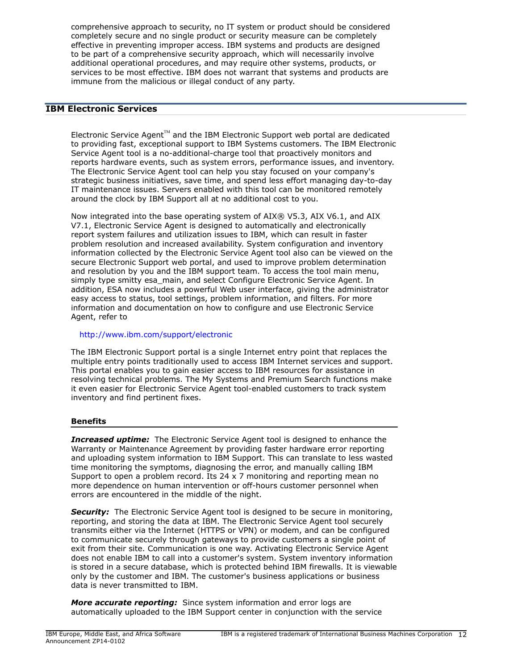comprehensive approach to security, no IT system or product should be considered completely secure and no single product or security measure can be completely effective in preventing improper access. IBM systems and products are designed to be part of a comprehensive security approach, which will necessarily involve additional operational procedures, and may require other systems, products, or services to be most effective. IBM does not warrant that systems and products are immune from the malicious or illegal conduct of any party.

# **IBM Electronic Services**

 $E$ lectronic Service Agent $T^M$  and the IBM Electronic Support web portal are dedicated to providing fast, exceptional support to IBM Systems customers. The IBM Electronic Service Agent tool is a no-additional-charge tool that proactively monitors and reports hardware events, such as system errors, performance issues, and inventory. The Electronic Service Agent tool can help you stay focused on your company's strategic business initiatives, save time, and spend less effort managing day-to-day IT maintenance issues. Servers enabled with this tool can be monitored remotely around the clock by IBM Support all at no additional cost to you.

Now integrated into the base operating system of AIX® V5.3, AIX V6.1, and AIX V7.1, Electronic Service Agent is designed to automatically and electronically report system failures and utilization issues to IBM, which can result in faster problem resolution and increased availability. System configuration and inventory information collected by the Electronic Service Agent tool also can be viewed on the secure Electronic Support web portal, and used to improve problem determination and resolution by you and the IBM support team. To access the tool main menu, simply type smitty esa main, and select Configure Electronic Service Agent. In addition, ESA now includes a powerful Web user interface, giving the administrator easy access to status, tool settings, problem information, and filters. For more information and documentation on how to configure and use Electronic Service Agent, refer to

### <http://www.ibm.com/support/electronic>

The IBM Electronic Support portal is a single Internet entry point that replaces the multiple entry points traditionally used to access IBM Internet services and support. This portal enables you to gain easier access to IBM resources for assistance in resolving technical problems. The My Systems and Premium Search functions make it even easier for Electronic Service Agent tool-enabled customers to track system inventory and find pertinent fixes.

### **Benefits**

**Increased uptime:** The Electronic Service Agent tool is designed to enhance the Warranty or Maintenance Agreement by providing faster hardware error reporting and uploading system information to IBM Support. This can translate to less wasted time monitoring the symptoms, diagnosing the error, and manually calling IBM Support to open a problem record. Its  $24 \times 7$  monitoring and reporting mean no more dependence on human intervention or off-hours customer personnel when errors are encountered in the middle of the night.

*Security:* The Electronic Service Agent tool is designed to be secure in monitoring, reporting, and storing the data at IBM. The Electronic Service Agent tool securely transmits either via the Internet (HTTPS or VPN) or modem, and can be configured to communicate securely through gateways to provide customers a single point of exit from their site. Communication is one way. Activating Electronic Service Agent does not enable IBM to call into a customer's system. System inventory information is stored in a secure database, which is protected behind IBM firewalls. It is viewable only by the customer and IBM. The customer's business applications or business data is never transmitted to IBM.

*More accurate reporting:* Since system information and error logs are automatically uploaded to the IBM Support center in conjunction with the service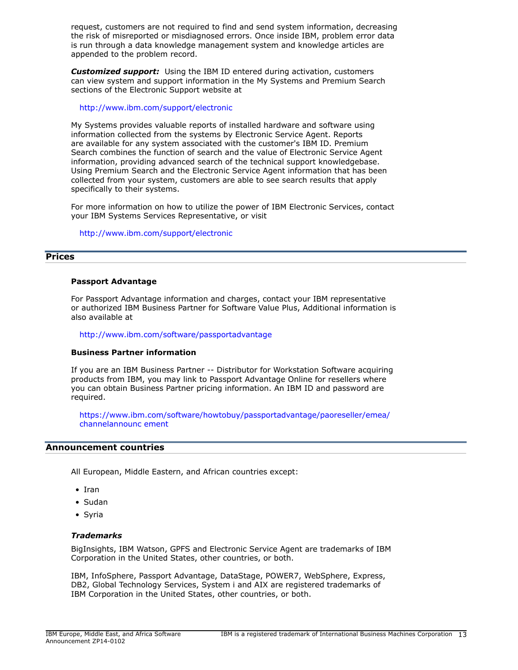request, customers are not required to find and send system information, decreasing the risk of misreported or misdiagnosed errors. Once inside IBM, problem error data is run through a data knowledge management system and knowledge articles are appended to the problem record.

*Customized support:* Using the IBM ID entered during activation, customers can view system and support information in the My Systems and Premium Search sections of the Electronic Support website at

### <http://www.ibm.com/support/electronic>

My Systems provides valuable reports of installed hardware and software using information collected from the systems by Electronic Service Agent. Reports are available for any system associated with the customer's IBM ID. Premium Search combines the function of search and the value of Electronic Service Agent information, providing advanced search of the technical support knowledgebase. Using Premium Search and the Electronic Service Agent information that has been collected from your system, customers are able to see search results that apply specifically to their systems.

For more information on how to utilize the power of IBM Electronic Services, contact your IBM Systems Services Representative, or visit

<http://www.ibm.com/support/electronic>

### <span id="page-12-0"></span>**Prices**

### **Passport Advantage**

For Passport Advantage information and charges, contact your IBM representative or authorized IBM Business Partner for Software Value Plus, Additional information is also available at

<http://www.ibm.com/software/passportadvantage>

#### **Business Partner information**

If you are an IBM Business Partner -- Distributor for Workstation Software acquiring products from IBM, you may link to Passport Advantage Online for resellers where you can obtain Business Partner pricing information. An IBM ID and password are required.

[https://www.ibm.com/software/howtobuy/passportadvantage/paoreseller/emea/](https://www.ibm.com/software/howtobuy/passportadvantage/paoreseller/emea/channelannouncement) [channelannounc ement](https://www.ibm.com/software/howtobuy/passportadvantage/paoreseller/emea/channelannouncement)

# <span id="page-12-1"></span>**Announcement countries**

All European, Middle Eastern, and African countries except:

- Iran
- Sudan
- Syria

#### *Trademarks*

BigInsights, IBM Watson, GPFS and Electronic Service Agent are trademarks of IBM Corporation in the United States, other countries, or both.

IBM, InfoSphere, Passport Advantage, DataStage, POWER7, WebSphere, Express, DB2, Global Technology Services, System i and AIX are registered trademarks of IBM Corporation in the United States, other countries, or both.